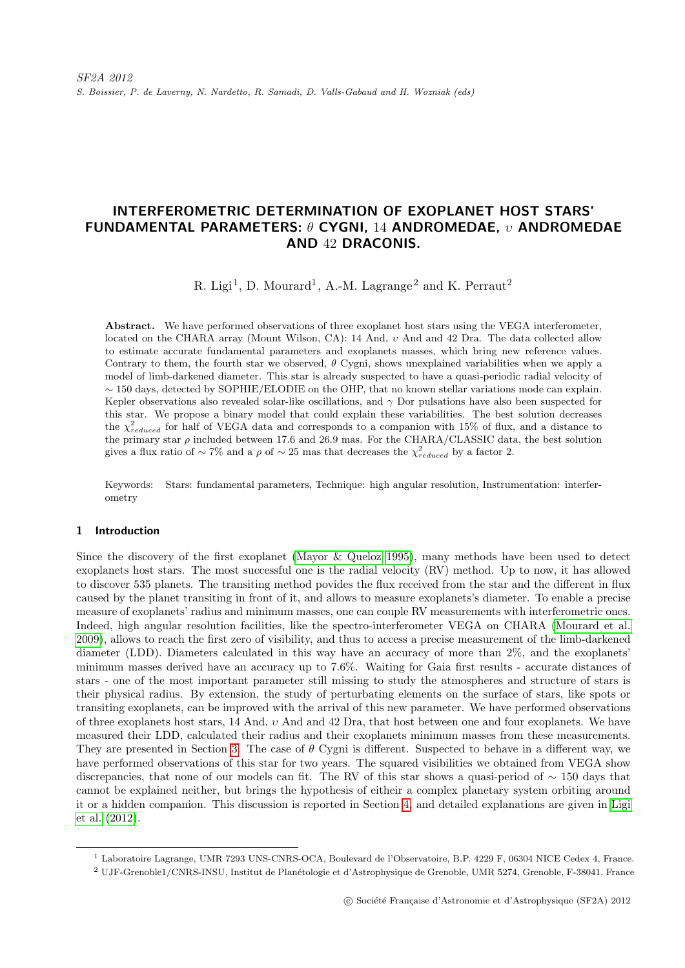# INTERFEROMETRIC DETERMINATION OF EXOPLANET HOST STARS' FUNDAMENTAL PARAMETERS:  $\theta$  CYGNI, 14 ANDROMEDAE,  $v$  ANDROMEDAE AND 42 DRACONIS.

R. Ligi<sup>1</sup>, D. Mourard<sup>1</sup>, A.-M. Lagrange<sup>2</sup> and K. Perraut<sup>2</sup>

Abstract. We have performed observations of three exoplanet host stars using the VEGA interferometer, located on the CHARA array (Mount Wilson, CA): 14 And, υ And and 42 Dra. The data collected allow to estimate accurate fundamental parameters and exoplanets masses, which bring new reference values. Contrary to them, the fourth star we observed,  $\theta$  Cygni, shows unexplained variabilities when we apply a model of limb-darkened diameter. This star is already suspected to have a quasi-periodic radial velocity of ∼ 150 days, detected by SOPHIE/ELODIE on the OHP, that no known stellar variations mode can explain. Kepler observations also revealed solar-like oscillations, and  $\gamma$  Dor pulsations have also been suspected for this star. We propose a binary model that could explain these variabilities. The best solution decreases the  $\chi^2_{reduced}$  for half of VEGA data and corresponds to a companion with 15% of flux, and a distance to the primary star  $\rho$  included between 17.6 and 26.9 mas. For the CHARA/CLASSIC data, the best solution gives a flux ratio of  $\sim 7\%$  and a  $\rho$  of  $\sim 25$  mas that decreases the  $\chi^2_{reduced}$  by a factor 2.

Keywords: Stars: fundamental parameters, Technique: high angular resolution, Instrumentation: interferometry

## 1 Introduction

Since the discovery of the first exoplanet [\(Mayor & Queloz 1995\)](#page-5-0), many methods have been used to detect exoplanets host stars. The most successful one is the radial velocity (RV) method. Up to now, it has allowed to discover 535 planets. The transiting method povides the flux received from the star and the different in flux caused by the planet transiting in front of it, and allows to measure exoplanets's diameter. To enable a precise measure of exoplanets' radius and minimum masses, one can couple RV measurements with interferometric ones. Indeed, high angular resolution facilities, like the spectro-interferometer VEGA on CHARA [\(Mourard et al.](#page-5-1) [2009\)](#page-5-1), allows to reach the first zero of visibility, and thus to access a precise measurement of the limb-darkened diameter (LDD). Diameters calculated in this way have an accuracy of more than 2%, and the exoplanets' minimum masses derived have an accuracy up to 7.6%. Waiting for Gaia first results - accurate distances of stars - one of the most important parameter still missing to study the atmospheres and structure of stars is their physical radius. By extension, the study of perturbating elements on the surface of stars, like spots or transiting exoplanets, can be improved with the arrival of this new parameter. We have performed observations of three exoplanets host stars, 14 And, υ And and 42 Dra, that host between one and four exoplanets. We have measured their LDD, calculated their radius and their exoplanets minimum masses from these measurements. They are presented in Section [3.](#page-1-0) The case of  $\theta$  Cygni is different. Suspected to behave in a different way, we have performed observations of this star for two years. The squared visibilities we obtained from VEGA show discrepancies, that none of our models can fit. The RV of this star shows a quasi-period of  $\sim 150$  days that cannot be explained neither, but brings the hypothesis of eitheir a complex planetary system orbiting around it or a hidden companion. This discussion is reported in Section [4,](#page-3-0) and detailed explanations are given in [Ligi](#page-5-2) [et al.](#page-5-2) [\(2012\)](#page-5-2).

<sup>1</sup> Laboratoire Lagrange, UMR 7293 UNS-CNRS-OCA, Boulevard de l'Observatoire, B.P. 4229 F, 06304 NICE Cedex 4, France.

<sup>&</sup>lt;sup>2</sup> UJF-Grenoble1/CNRS-INSU, Institut de Planétologie et d'Astrophysique de Grenoble, UMR 5274, Grenoble, F-38041, France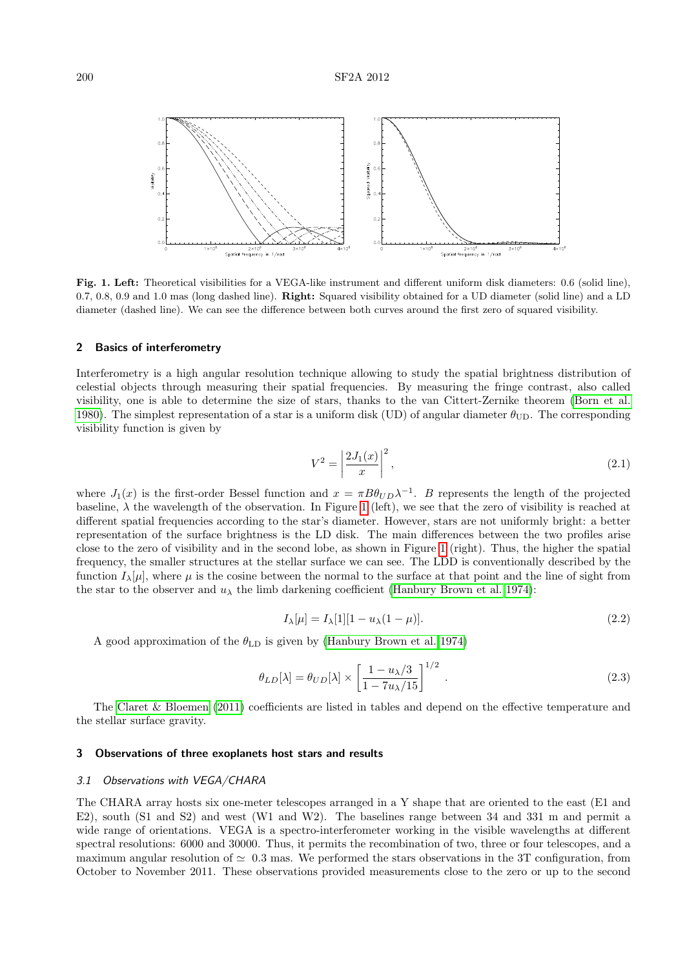

<span id="page-1-1"></span>Fig. 1. Left: Theoretical visibilities for a VEGA-like instrument and different uniform disk diameters: 0.6 (solid line), 0.7, 0.8, 0.9 and 1.0 mas (long dashed line). Right: Squared visibility obtained for a UD diameter (solid line) and a LD diameter (dashed line). We can see the difference between both curves around the first zero of squared visibility.

## 2 Basics of interferometry

Interferometry is a high angular resolution technique allowing to study the spatial brightness distribution of celestial objects through measuring their spatial frequencies. By measuring the fringe contrast, also called visibility, one is able to determine the size of stars, thanks to the van Cittert-Zernike theorem [\(Born et al.](#page-5-3) [1980\)](#page-5-3). The simplest representation of a star is a uniform disk (UD) of angular diameter  $\theta_{\text{UD}}$ . The corresponding visibility function is given by

$$
V^2 = \left|\frac{2J_1(x)}{x}\right|^2,\tag{2.1}
$$

where  $J_1(x)$  is the first-order Bessel function and  $x = \pi B \theta_{UD} \lambda^{-1}$ . B represents the length of the projected baseline,  $\lambda$  the wavelength of the observation. In Figure [1](#page-1-1) (left), we see that the zero of visibility is reached at different spatial frequencies according to the star's diameter. However, stars are not uniformly bright: a better representation of the surface brightness is the LD disk. The main differences between the two profiles arise close to the zero of visibility and in the second lobe, as shown in Figure [1](#page-1-1) (right). Thus, the higher the spatial frequency, the smaller structures at the stellar surface we can see. The LDD is conventionally described by the function  $I_{\lambda}[\mu]$ , where  $\mu$  is the cosine between the normal to the surface at that point and the line of sight from the star to the observer and  $u_{\lambda}$  the limb darkening coefficient [\(Hanbury Brown et al. 1974\)](#page-5-4):

$$
I_{\lambda}[\mu] = I_{\lambda}[1][1 - u_{\lambda}(1 - \mu)].
$$
\n(2.2)

A good approximation of the  $\theta_{\text{LD}}$  is given by [\(Hanbury Brown et al. 1974\)](#page-5-4)

$$
\theta_{LD}[\lambda] = \theta_{UD}[\lambda] \times \left[\frac{1 - u_{\lambda}/3}{1 - 7u_{\lambda}/15}\right]^{1/2} \tag{2.3}
$$

The [Claret & Bloemen](#page-5-5) [\(2011\)](#page-5-5) coefficients are listed in tables and depend on the effective temperature and the stellar surface gravity.

#### <span id="page-1-0"></span>3 Observations of three exoplanets host stars and results

#### 3.1 Observations with VEGA/CHARA

The CHARA array hosts six one-meter telescopes arranged in a Y shape that are oriented to the east (E1 and E2), south (S1 and S2) and west (W1 and W2). The baselines range between 34 and 331 m and permit a wide range of orientations. VEGA is a spectro-interferometer working in the visible wavelengths at different spectral resolutions: 6000 and 30000. Thus, it permits the recombination of two, three or four telescopes, and a maximum angular resolution of  $\simeq 0.3$  mas. We performed the stars observations in the 3T configuration, from October to November 2011. These observations provided measurements close to the zero or up to the second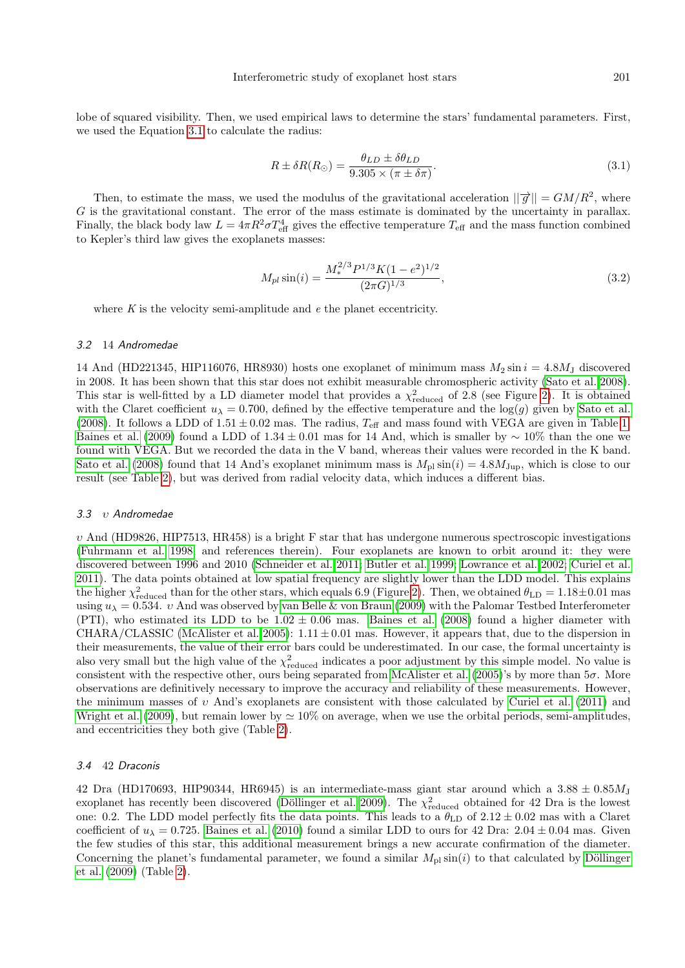lobe of squared visibility. Then, we used empirical laws to determine the stars' fundamental parameters. First, we used the Equation [3.1](#page-2-0) to calculate the radius:

<span id="page-2-0"></span>
$$
R \pm \delta R(R_{\odot}) = \frac{\theta_{LD} \pm \delta \theta_{LD}}{9.305 \times (\pi \pm \delta \pi)}.
$$
\n(3.1)

Then, to estimate the mass, we used the modulus of the gravitational acceleration  $||\vec{g}|| = GM/R^2$ , where G is the gravitational constant. The error of the mass estimate is dominated by the uncertainty in parallax. Finally, the black body law  $L = 4\pi R^2 \sigma T_{\text{eff}}^4$  gives the effective temperature  $T_{\text{eff}}$  and the mass function combined to Kepler's third law gives the exoplanets masses:

$$
M_{pl}\sin(i) = \frac{M_*^{2/3}P^{1/3}K(1-e^2)^{1/2}}{(2\pi G)^{1/3}},\tag{3.2}
$$

where  $K$  is the velocity semi-amplitude and  $e$  the planet eccentricity.

# 3.2 14 Andromedae

14 And (HD221345, HIP116076, HR8930) hosts one exoplanet of minimum mass  $M_2 \sin i = 4.8 M_J$  discovered in 2008. It has been shown that this star does not exhibit measurable chromospheric activity [\(Sato et al. 2008\)](#page-5-6). This star is well-fitted by a LD diameter model that provides a  $\chi^2_{reduced}$  of 2.8 (see Figure [2\)](#page-4-0). It is obtained with the Claret coefficient  $u_{\lambda} = 0.700$ , defined by the effective temperature and the log(g) given by [Sato et al.](#page-5-6) [\(2008\)](#page-5-6). It follows a LDD of  $1.51 \pm 0.02$  mas. The radius,  $T_{\text{eff}}$  and mass found with VEGA are given in Table [1.](#page-3-1) [Baines et al.](#page-5-7) [\(2009\)](#page-5-7) found a LDD of 1.34 ± 0.01 mas for 14 And, which is smaller by  $\sim 10\%$  than the one we found with VEGA. But we recorded the data in the V band, whereas their values were recorded in the K band. [Sato et al.](#page-5-6) [\(2008\)](#page-5-6) found that 14 And's exoplanet minimum mass is  $M_{\text{pl}} \sin(i) = 4.8 M_{\text{Jup}}$ , which is close to our result (see Table [2\)](#page-3-2), but was derived from radial velocity data, which induces a different bias.

#### 3.3 υ Andromedae

 $v$  And (HD9826, HIP7513, HR458) is a bright F star that has undergone numerous spectroscopic investigations [\(Fuhrmann et al. 1998,](#page-5-8) and references therein). Four exoplanets are known to orbit around it: they were discovered between 1996 and 2010 [\(Schneider et al. 2011;](#page-5-9) [Butler et al. 1999;](#page-5-10) [Lowrance et al. 2002;](#page-5-11) [Curiel et al.](#page-5-12) [2011\)](#page-5-12). The data points obtained at low spatial frequency are slightly lower than the LDD model. This explains the higher  $\chi^2_{\text{reduced}}$  than for the other stars, which equals 6.9 (Figure [2\)](#page-4-0). Then, we obtained  $\theta_{\text{LD}} = 1.18 \pm 0.01$  mas using  $u_{\lambda} = 0.534$ . *v* And was observed by [van Belle & von Braun](#page-6-0) [\(2009\)](#page-6-0) with the Palomar Testbed Interferometer (PTI), who estimated its LDD to be  $1.02 \pm 0.06$  mas. [Baines et al.](#page-5-13) [\(2008\)](#page-5-13) found a higher diameter with CHARA/CLASSIC [\(McAlister et al. 2005\)](#page-5-14):  $1.11 \pm 0.01$  mas. However, it appears that, due to the dispersion in their measurements, the value of their error bars could be underestimated. In our case, the formal uncertainty is also very small but the high value of the  $\chi^2_{reduced}$  indicates a poor adjustment by this simple model. No value is consistent with the respective other, ours being separated from [McAlister et al.](#page-5-14) [\(2005\)](#page-5-14)'s by more than 5σ. More observations are definitively necessary to improve the accuracy and reliability of these measurements. However, the minimum masses of v And's exoplanets are consistent with those calculated by [Curiel et al.](#page-5-12) [\(2011\)](#page-5-12) and [Wright et al.](#page-6-1) [\(2009\)](#page-6-1), but remain lower by  $\simeq 10\%$  on average, when we use the orbital periods, semi-amplitudes, and eccentricities they both give (Table [2\)](#page-3-2).

#### 3.4 42 Draconis

42 Dra (HD170693, HIP90344, HR6945) is an intermediate-mass giant star around which a  $3.88 \pm 0.85 M_{\rm J}$ exoplanet has recently been discovered (Döllinger et al. 2009). The  $\chi^2_{reduced}$  obtained for 42 Dra is the lowest one: 0.2. The LDD model perfectly fits the data points. This leads to a  $\theta_{\rm LD}$  of  $2.12 \pm 0.02$  mas with a Claret coefficient of  $u<sub>\lambda</sub> = 0.725$ . [Baines et al.](#page-5-16) [\(2010\)](#page-5-16) found a similar LDD to ours for 42 Dra: 2.04  $\pm$  0.04 mas. Given the few studies of this star, this additional measurement brings a new accurate confirmation of the diameter. Concerning the planet's fundamental parameter, we found a similar  $M_{\text{pl}} \sin(i)$  to that calculated by Döllinger [et al.](#page-5-15) [\(2009\)](#page-5-15) (Table [2\)](#page-3-2).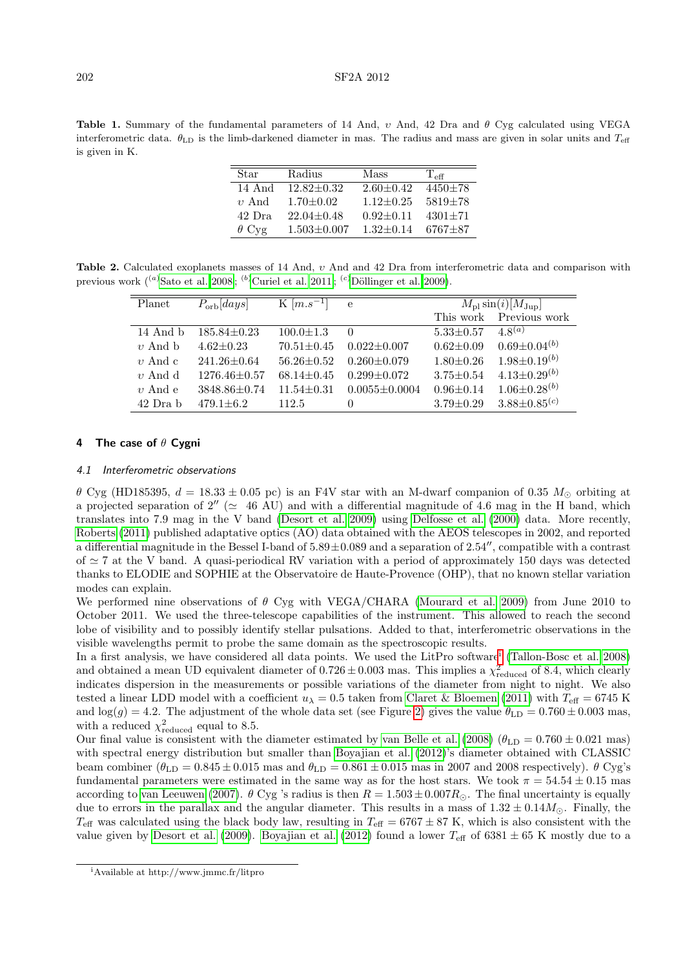<span id="page-3-1"></span>Table 1. Summary of the fundamental parameters of 14 And, υ And, 42 Dra and θ Cyg calculated using VEGA interferometric data.  $\theta_{\text{LD}}$  is the limb-darkened diameter in mas. The radius and mass are given in solar units and  $T_{\text{eff}}$ is given in K.

| Star         | Radius            | Mass            | $T_{\rm eff}$ |
|--------------|-------------------|-----------------|---------------|
| 14 And       | $12.82 \pm 0.32$  | $2.60 \pm 0.42$ | $4450 + 78$   |
| $v$ And      | $1.70 \pm 0.02$   | $1.12 \pm 0.25$ | $5819 + 78$   |
| 42 Dra       | $22.04 \pm 0.48$  | $0.92 + 0.11$   | $4301 + 71$   |
| $\theta$ Cyg | $1.503 \pm 0.007$ | $1.32 \pm 0.14$ | $6767 + 87$   |

Table 2. Calculated exoplanets masses of 14 And, υ And and 42 Dra from interferometric data and comparison with previous work  $({}^{(a)}$ [Sato et al. 2008](#page-5-6);  $({}^{(b)}$ [Curiel et al. 2011](#page-5-12);  $({}^{(c)}$ Döllinger et al. 2009).

<span id="page-3-2"></span>

| Planet       | $P_{\rm orb}[days]$ | K $[m.s^{-1}]$ e |                     | $M_{\text{pl}}\sin(i)[M_{\text{Jup}}]$ |                                |
|--------------|---------------------|------------------|---------------------|----------------------------------------|--------------------------------|
|              |                     |                  |                     | This work                              | Previous work                  |
| $14$ And $b$ | $185.84 \pm 0.23$   | $100.0 \pm 1.3$  | $\Omega$            | $5.33 + 0.57$                          | $4\,8^{(a)}$                   |
| $v$ And b    | $4.62 \pm 0.23$     | $70.51 \pm 0.45$ | $0.022 \pm 0.007$   | $0.62 \pm 0.09$                        | $0.69 \pm 0.04^{(b)}$          |
| $v$ And c    | $241.26 \pm 0.64$   | $56.26 \pm 0.52$ | $0.260 \pm 0.079$   | $1.80 \pm 0.26$                        | $1.98 \pm 0.19^{(b)}$          |
| $v$ And d    | $1276.46 \pm 0.57$  | $68.14 \pm 0.45$ | $0.299 + 0.072$     | $3.75 \pm 0.54$                        | $4.13 \pm 0.29^{(b)}$          |
| $v$ And e    | $3848.86 \pm 0.74$  | $11.54 \pm 0.31$ | $0.0055 \pm 0.0004$ | $0.96 \pm 0.14$                        | $1.06 \pm 0.28^{(b)}$          |
| 42 Dra b     | $479.1 \pm 6.2$     | 112.5            | $\theta$            | $3.79 \pm 0.29$                        | $3.88 \pm 0.85$ <sup>(c)</sup> |

## <span id="page-3-0"></span>4 The case of  $\theta$  Cygni

## 4.1 Interferometric observations

 $\theta$  Cyg (HD185395,  $d = 18.33 \pm 0.05$  pc) is an F4V star with an M-dwarf companion of 0.35  $M_{\odot}$  orbiting at a projected separation of 2'' ( $\simeq$  46 AU) and with a differential magnitude of 4.6 mag in the H band, which translates into 7.9 mag in the V band [\(Desort et al. 2009\)](#page-5-17) using [Delfosse et al.](#page-5-18) [\(2000\)](#page-5-18) data. More recently, [Roberts](#page-5-19) [\(2011\)](#page-5-19) published adaptative optics (AO) data obtained with the AEOS telescopes in 2002, and reported a differential magnitude in the Bessel I-band of  $5.89\pm0.089$  and a separation of  $2.54''$ , compatible with a contrast of  $\simeq$  7 at the V band. A quasi-periodical RV variation with a period of approximately 150 days was detected thanks to ELODIE and SOPHIE at the Observatoire de Haute-Provence (OHP), that no known stellar variation modes can explain.

We performed nine observations of  $\theta$  Cyg with VEGA/CHARA [\(Mourard et al. 2009\)](#page-5-1) from June 2010 to October 2011. We used the three-telescope capabilities of the instrument. This allowed to reach the second lobe of visibility and to possibly identify stellar pulsations. Added to that, interferometric observations in the visible wavelengths permit to probe the same domain as the spectroscopic results.

In a f[i](#page-3-3)rst analysis, we have considered all data points. We used the LitPro software<sup>i</sup> [\(Tallon-Bosc et al. 2008\)](#page-5-20) and obtained a mean UD equivalent diameter of  $0.726 \pm 0.003$  mas. This implies a  $\chi^2_{\text{reduced}}$  of 8.4, which clearly indicates dispersion in the measurements or possible variations of the diameter from night to night. We also tested a linear LDD model with a coefficient  $u<sub>\lambda</sub> = 0.5$  taken from [Claret & Bloemen](#page-5-5) [\(2011\)](#page-5-5) with  $T_{\text{eff}} = 6745$  K and  $\log(g) = 4.2$ . The adjustment of the whole data set (see Figure [2\)](#page-4-0) gives the value  $\theta_{\rm LD} = 0.760 \pm 0.003$  mas, with a reduced  $\chi^2_{reduced}$  equal to 8.5.

Our final value is consistent with the diameter estimated by [van Belle et al.](#page-5-21) [\(2008\)](#page-5-21) ( $\theta_{\text{LD}} = 0.760 \pm 0.021$  mas) with spectral energy distribution but smaller than [Boyajian et al.](#page-5-22) [\(2012\)](#page-5-22)'s diameter obtained with CLASSIC beam combiner  $(\theta_{\text{LD}} = 0.845 \pm 0.015 \text{ mas and } \theta_{\text{LD}} = 0.861 \pm 0.015 \text{ mas in } 2007 \text{ and } 2008 \text{ respectively})$ .  $\theta$  Cyg's fundamental parameters were estimated in the same way as for the host stars. We took  $\pi = 54.54 \pm 0.15$  mas according to [van Leeuwen](#page-6-2) [\(2007\)](#page-6-2).  $\theta$  Cyg 's radius is then  $R = 1.503 \pm 0.007 R_{\odot}$ . The final uncertainty is equally due to errors in the parallax and the angular diameter. This results in a mass of  $1.32 \pm 0.14 M_{\odot}$ . Finally, the  $T_{\text{eff}}$  was calculated using the black body law, resulting in  $T_{\text{eff}} = 6767 \pm 87$  K, which is also consistent with the value given by [Desort et al.](#page-5-17) [\(2009\)](#page-5-17). [Boyajian et al.](#page-5-22) [\(2012\)](#page-5-22) found a lower  $T_{\text{eff}}$  of 6381  $\pm$  65 K mostly due to a

<span id="page-3-3"></span><sup>i</sup>Available at http://www.jmmc.fr/litpro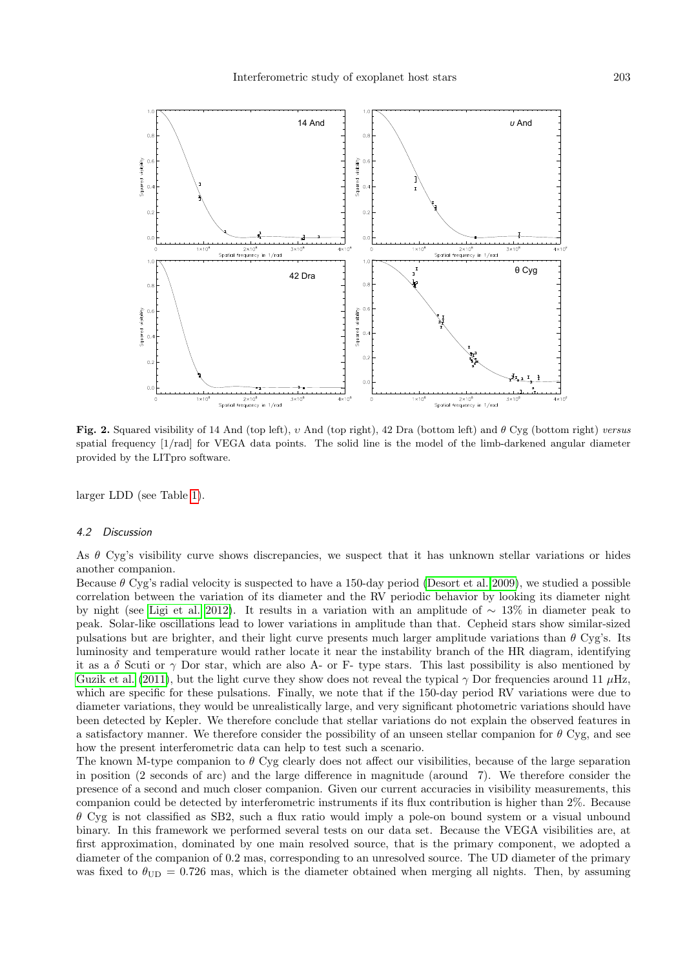

<span id="page-4-0"></span>Fig. 2. Squared visibility of 14 And (top left),  $v$  And (top right), 42 Dra (bottom left) and  $\theta$  Cyg (bottom right) versus spatial frequency [1/rad] for VEGA data points. The solid line is the model of the limb-darkened angular diameter provided by the LITpro software.

larger LDD (see Table [1\)](#page-3-1).

#### 4.2 Discussion

As θ Cyg's visibility curve shows discrepancies, we suspect that it has unknown stellar variations or hides another companion.

Because  $\theta$  Cyg's radial velocity is suspected to have a 150-day period [\(Desort et al. 2009\)](#page-5-17), we studied a possible correlation between the variation of its diameter and the RV periodic behavior by looking its diameter night by night (see [Ligi et al. 2012\)](#page-5-2). It results in a variation with an amplitude of ∼ 13% in diameter peak to peak. Solar-like oscillations lead to lower variations in amplitude than that. Cepheid stars show similar-sized pulsations but are brighter, and their light curve presents much larger amplitude variations than  $\theta$  Cyg's. Its luminosity and temperature would rather locate it near the instability branch of the HR diagram, identifying it as a  $\delta$  Scuti or  $\gamma$  Dor star, which are also A- or F- type stars. This last possibility is also mentioned by [Guzik et al.](#page-5-23) [\(2011\)](#page-5-23), but the light curve they show does not reveal the typical  $\gamma$  Dor frequencies around 11  $\mu$ Hz, which are specific for these pulsations. Finally, we note that if the 150-day period RV variations were due to diameter variations, they would be unrealistically large, and very significant photometric variations should have been detected by Kepler. We therefore conclude that stellar variations do not explain the observed features in a satisfactory manner. We therefore consider the possibility of an unseen stellar companion for  $\theta$  Cyg, and see how the present interferometric data can help to test such a scenario.

The known M-type companion to  $\theta$  Cyg clearly does not affect our visibilities, because of the large separation in position (2 seconds of arc) and the large difference in magnitude (around 7). We therefore consider the presence of a second and much closer companion. Given our current accuracies in visibility measurements, this companion could be detected by interferometric instruments if its flux contribution is higher than 2%. Because  $\theta$  Cyg is not classified as SB2, such a flux ratio would imply a pole-on bound system or a visual unbound binary. In this framework we performed several tests on our data set. Because the VEGA visibilities are, at first approximation, dominated by one main resolved source, that is the primary component, we adopted a diameter of the companion of 0.2 mas, corresponding to an unresolved source. The UD diameter of the primary was fixed to  $\theta_{\text{UD}} = 0.726$  mas, which is the diameter obtained when merging all nights. Then, by assuming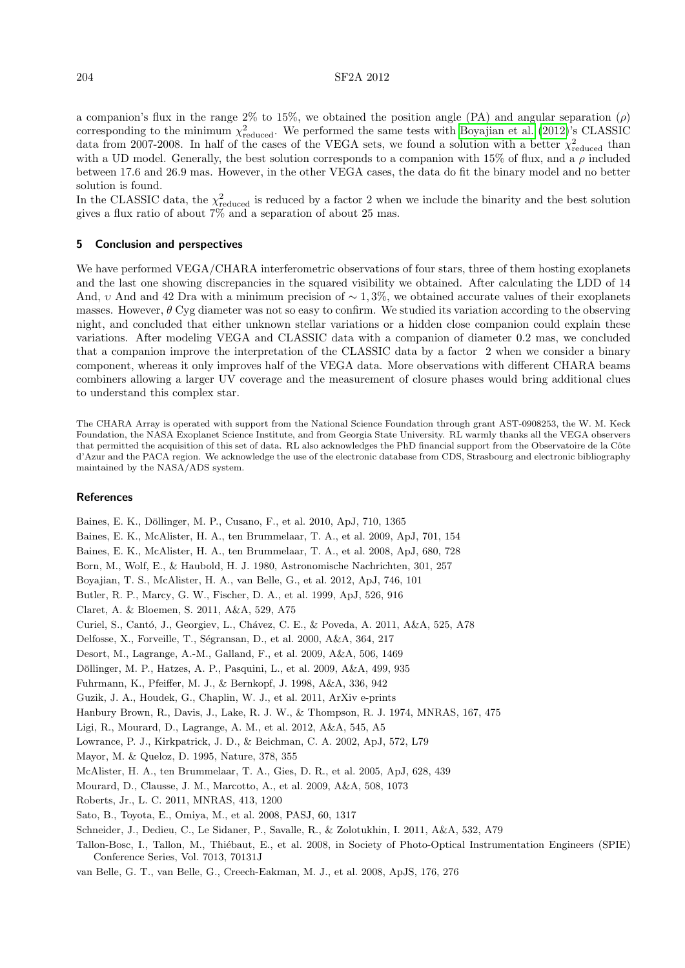204 SF2A 2012

a companion's flux in the range 2% to 15%, we obtained the position angle (PA) and angular separation  $(\rho)$ corresponding to the minimum  $\chi^2_{reduced}$ . We performed the same tests with [Boyajian et al.](#page-5-22) [\(2012\)](#page-5-22)'s CLASSIC data from 2007-2008. In half of the cases of the VEGA sets, we found a solution with a better  $\chi^2_{reduced}$  than with a UD model. Generally, the best solution corresponds to a companion with 15% of flux, and a  $\rho$  included between 17.6 and 26.9 mas. However, in the other VEGA cases, the data do fit the binary model and no better solution is found.

In the CLASSIC data, the  $\chi^2_{reduced}$  is reduced by a factor 2 when we include the binarity and the best solution gives a flux ratio of about 7% and a separation of about 25 mas.

# 5 Conclusion and perspectives

We have performed VEGA/CHARA interferometric observations of four stars, three of them hosting exoplanets and the last one showing discrepancies in the squared visibility we obtained. After calculating the LDD of 14 And, v And and 42 Dra with a minimum precision of  $\sim 1.3\%$ , we obtained accurate values of their exoplanets masses. However,  $\theta$  Cyg diameter was not so easy to confirm. We studied its variation according to the observing night, and concluded that either unknown stellar variations or a hidden close companion could explain these variations. After modeling VEGA and CLASSIC data with a companion of diameter 0.2 mas, we concluded that a companion improve the interpretation of the CLASSIC data by a factor 2 when we consider a binary component, whereas it only improves half of the VEGA data. More observations with different CHARA beams combiners allowing a larger UV coverage and the measurement of closure phases would bring additional clues to understand this complex star.

The CHARA Array is operated with support from the National Science Foundation through grant AST-0908253, the W. M. Keck Foundation, the NASA Exoplanet Science Institute, and from Georgia State University. RL warmly thanks all the VEGA observers that permitted the acquisition of this set of data. RL also acknowledges the PhD financial support from the Observatoire de la Côte d'Azur and the PACA region. We acknowledge the use of the electronic database from CDS, Strasbourg and electronic bibliography maintained by the NASA/ADS system.

# **References**

<span id="page-5-23"></span><span id="page-5-22"></span><span id="page-5-18"></span><span id="page-5-17"></span><span id="page-5-16"></span><span id="page-5-15"></span><span id="page-5-13"></span><span id="page-5-12"></span><span id="page-5-10"></span><span id="page-5-8"></span><span id="page-5-7"></span><span id="page-5-5"></span><span id="page-5-3"></span>Baines, E. K., Döllinger, M. P., Cusano, F., et al. 2010, ApJ, 710, 1365 Baines, E. K., McAlister, H. A., ten Brummelaar, T. A., et al. 2009, ApJ, 701, 154 Baines, E. K., McAlister, H. A., ten Brummelaar, T. A., et al. 2008, ApJ, 680, 728 Born, M., Wolf, E., & Haubold, H. J. 1980, Astronomische Nachrichten, 301, 257 Boyajian, T. S., McAlister, H. A., van Belle, G., et al. 2012, ApJ, 746, 101 Butler, R. P., Marcy, G. W., Fischer, D. A., et al. 1999, ApJ, 526, 916 Claret, A. & Bloemen, S. 2011, A&A, 529, A75 Curiel, S., Cantó, J., Georgiev, L., Chávez, C. E., & Poveda, A. 2011, A&A, 525, A78 Delfosse, X., Forveille, T., Ségransan, D., et al. 2000, A&A, 364, 217 Desort, M., Lagrange, A.-M., Galland, F., et al. 2009, A&A, 506, 1469 Döllinger, M. P., Hatzes, A. P., Pasquini, L., et al. 2009, A&A, 499, 935 Fuhrmann, K., Pfeiffer, M. J., & Bernkopf, J. 1998, A&A, 336, 942 Guzik, J. A., Houdek, G., Chaplin, W. J., et al. 2011, ArXiv e-prints Hanbury Brown, R., Davis, J., Lake, R. J. W., & Thompson, R. J. 1974, MNRAS, 167, 475 Ligi, R., Mourard, D., Lagrange, A. M., et al. 2012, A&A, 545, A5 Lowrance, P. J., Kirkpatrick, J. D., & Beichman, C. A. 2002, ApJ, 572, L79 Mayor, M. & Queloz, D. 1995, Nature, 378, 355 McAlister, H. A., ten Brummelaar, T. A., Gies, D. R., et al. 2005, ApJ, 628, 439 Mourard, D., Clausse, J. M., Marcotto, A., et al. 2009, A&A, 508, 1073 Roberts, Jr., L. C. 2011, MNRAS, 413, 1200 Sato, B., Toyota, E., Omiya, M., et al. 2008, PASJ, 60, 1317 Schneider, J., Dedieu, C., Le Sidaner, P., Savalle, R., & Zolotukhin, I. 2011, A&A, 532, A79 Tallon-Bosc, I., Tallon, M., Thiébaut, E., et al. 2008, in Society of Photo-Optical Instrumentation Engineers (SPIE) Conference Series, Vol. 7013, 70131J

<span id="page-5-21"></span><span id="page-5-20"></span><span id="page-5-19"></span><span id="page-5-14"></span><span id="page-5-11"></span><span id="page-5-9"></span><span id="page-5-6"></span><span id="page-5-4"></span><span id="page-5-2"></span><span id="page-5-1"></span><span id="page-5-0"></span>van Belle, G. T., van Belle, G., Creech-Eakman, M. J., et al. 2008, ApJS, 176, 276